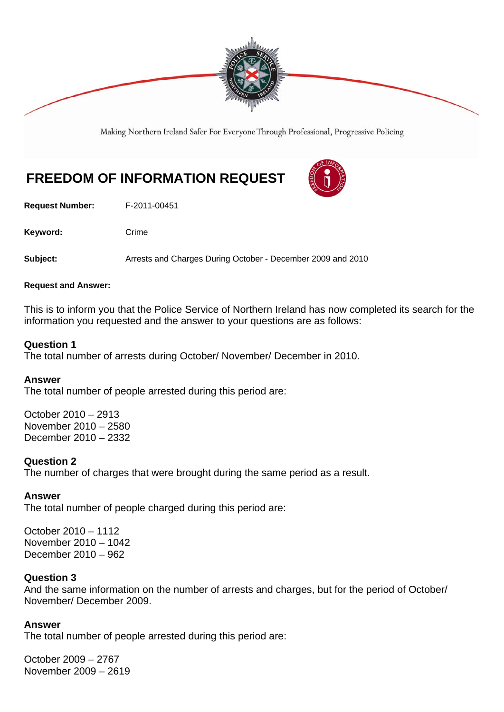

Making Northern Ireland Safer For Everyone Through Professional, Progressive Policing

# **FREEDOM OF INFORMATION REQUEST**

**Request Number:** F-2011-00451

Keyword: Crime

**Subject:** Arrests and Charges During October - December 2009 and 2010

### **Request and Answer:**

This is to inform you that the Police Service of Northern Ireland has now completed its search for the information you requested and the answer to your questions are as follows:

# **Question 1**

The total number of arrests during October/ November/ December in 2010.

# **Answer**

The total number of people arrested during this period are:

October 2010 – 2913 November 2010 – 2580 December 2010 – 2332

### **Question 2**

The number of charges that were brought during the same period as a result.

# **Answer**

The total number of people charged during this period are:

October 2010 – 1112 November 2010 – 1042 December 2010 – 962

# **Question 3**

And the same information on the number of arrests and charges, but for the period of October/ November/ December 2009.

# **Answer**

The total number of people arrested during this period are:

October 2009 – 2767 November 2009 – 2619